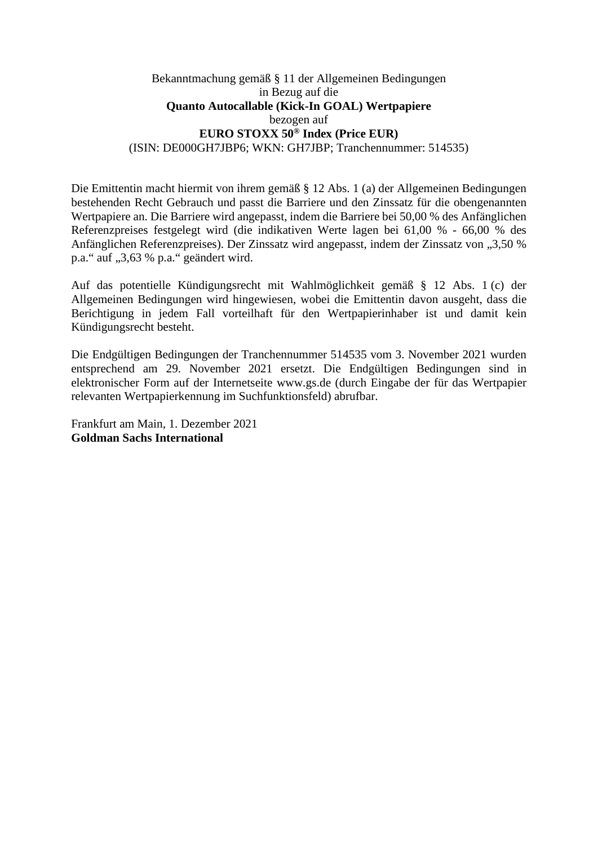## Bekanntmachung gemäß § 11 der Allgemeinen Bedingungen in Bezug auf die **Quanto Autocallable (Kick-In GOAL) Wertpapiere**  bezogen auf **EURO STOXX 50® Index (Price EUR)**  (ISIN: DE000GH7JBP6; WKN: GH7JBP; Tranchennummer: 514535)

Die Emittentin macht hiermit von ihrem gemäß § 12 Abs. 1 (a) der Allgemeinen Bedingungen bestehenden Recht Gebrauch und passt die Barriere und den Zinssatz für die obengenannten Wertpapiere an. Die Barriere wird angepasst, indem die Barriere bei 50,00 % des Anfänglichen Referenzpreises festgelegt wird (die indikativen Werte lagen bei 61,00 % - 66,00 % des Anfänglichen Referenzpreises). Der Zinssatz wird angepasst, indem der Zinssatz von "3,50 % p.a." auf "3,63 % p.a." geändert wird.

Auf das potentielle Kündigungsrecht mit Wahlmöglichkeit gemäß § 12 Abs. 1 (c) der Allgemeinen Bedingungen wird hingewiesen, wobei die Emittentin davon ausgeht, dass die Berichtigung in jedem Fall vorteilhaft für den Wertpapierinhaber ist und damit kein Kündigungsrecht besteht.

Die Endgültigen Bedingungen der Tranchennummer 514535 vom 3. November 2021 wurden entsprechend am 29. November 2021 ersetzt. Die Endgültigen Bedingungen sind in elektronischer Form auf der Internetseite www.gs.de (durch Eingabe der für das Wertpapier relevanten Wertpapierkennung im Suchfunktionsfeld) abrufbar.

Frankfurt am Main, 1. Dezember 2021 **Goldman Sachs International**